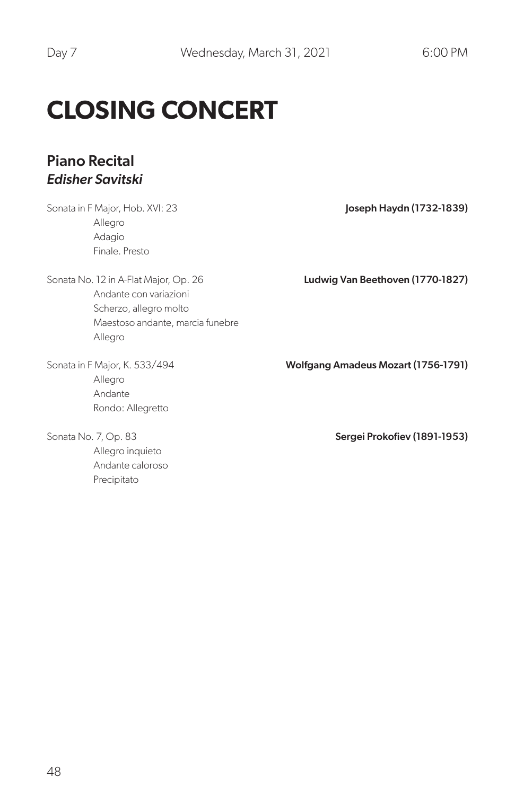## **CLOSING CONCERT**

## Piano Recital *Edisher Savitski*

Sonata in F Major, Hob. XVI: 23 Allegro Adagio Finale. Presto

Sonata No. 12 in A-Flat Major, Op. 26 Andante con variazioni Scherzo, allegro molto Maestoso andante, marcia funebre Allegro

Sonata in F Major, K. 533/494 Allegro Andante Rondo: Allegretto

Sonata No. 7, Op. 83 Allegro inquieto Andante caloroso Precipitato

Joseph Haydn (1732-1839)

Ludwig Van Beethoven (1770-1827)

Wolfgang Amadeus Mozart (1756-1791)

Sergei Prokofiev (1891-1953)